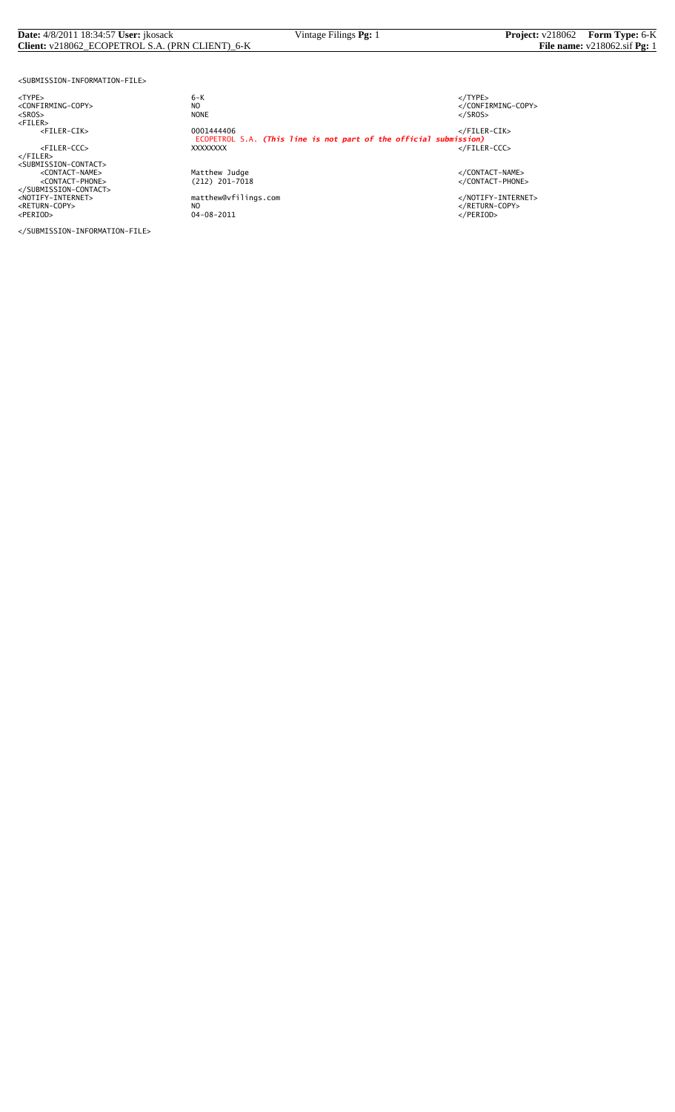#### **Date:** 4/8/2011 18:34:57 **User:** jkosack Vintage Filings **Pg:** 1 **Project:** v218062 **Form Type:** 6-K **Client:** v218062\_ECOPETROL S.A. (PRN CLIENT)\_6-K **File name:** v218062.sif **Pg:** 1

<SUBMISSION-INFORMATION-FILE>

<NOTIFY-INTERNET> matthew@vfilings.com </NOTIFY-INTERNET> <RETURN-COPY> NO </RETURN-COPY> <PERIOD> 04-08-2011 </PERIOD>

</SUBMISSION-INFORMATION-FILE>

<TYPE> 6-K </TYPE> essence<br>
NO<br>
NO CONFIRMING-COPY><br>
NONE<br>
</SROS> <SROS> NONE </SROS> <FILER> <FILER-CIK> 0001444406 </FILER-CIK> ECOPETROL S.A. *(This line is not part of the official submission)* <FILER-CCC> XXXXXXXX </FILER-CCC> </FILER><br><SUBMISSION-CONTACT><br><CONTACT-NAME> </CONTACT-NAME></CONTACT-NAME><br><</CONTACT-PHONE></CONTACT-PHONE></CONTACT-PHONE><br></SUBMISSION-CONTACT>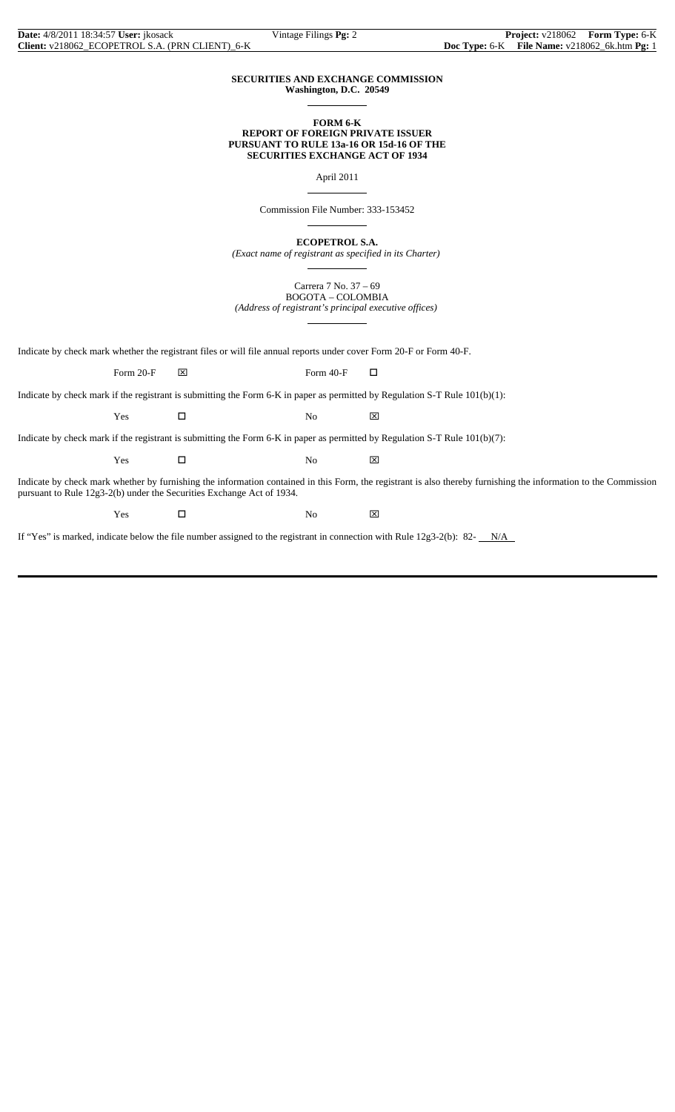#### **SECURITIES AND EXCHANGE COMMISSION Washington, D.C. 20549**

 $\overline{a}$ 

 $\overline{a}$ 

 $\overline{a}$ 

 $\overline{a}$ 

 $\overline{a}$ 

#### **FORM 6-K REPORT OF FOREIGN PRIVATE ISSUER PURSUANT TO RULE 13a-16 OR 15d-16 OF THE SECURITIES EXCHANGE ACT OF 1934**

April 2011

Commission File Number: 333-153452

**ECOPETROL S.A.**

*(Exact name of registrant as specified in its Charter)*

Carrera 7 No. 37 – 69 BOGOTA – COLOMBIA *(Address of registrant's principal executive offices)*

Indicate by check mark whether the registrant files or will file annual reports under cover Form 20-F or Form 40-F.

Form 20-F  $\boxtimes$  Form 40-F  $\Box$ 

Indicate by check mark if the registrant is submitting the Form 6-K in paper as permitted by Regulation S-T Rule 101(b)(1):

Yes □ No ⊠

Indicate by check mark if the registrant is submitting the Form 6-K in paper as permitted by Regulation S-T Rule 101(b)(7):

 $Yes$   $\Box$  No  $\boxtimes$ 

Indicate by check mark whether by furnishing the information contained in this Form, the registrant is also thereby furnishing the information to the Commission pursuant to Rule 12g3-2(b) under the Securities Exchange Act of 1934.

 $Yes$   $\square$  No  $\boxtimes$ 

If "Yes" is marked, indicate below the file number assigned to the registrant in connection with Rule  $12g3-2(b)$ : 82- $N/A$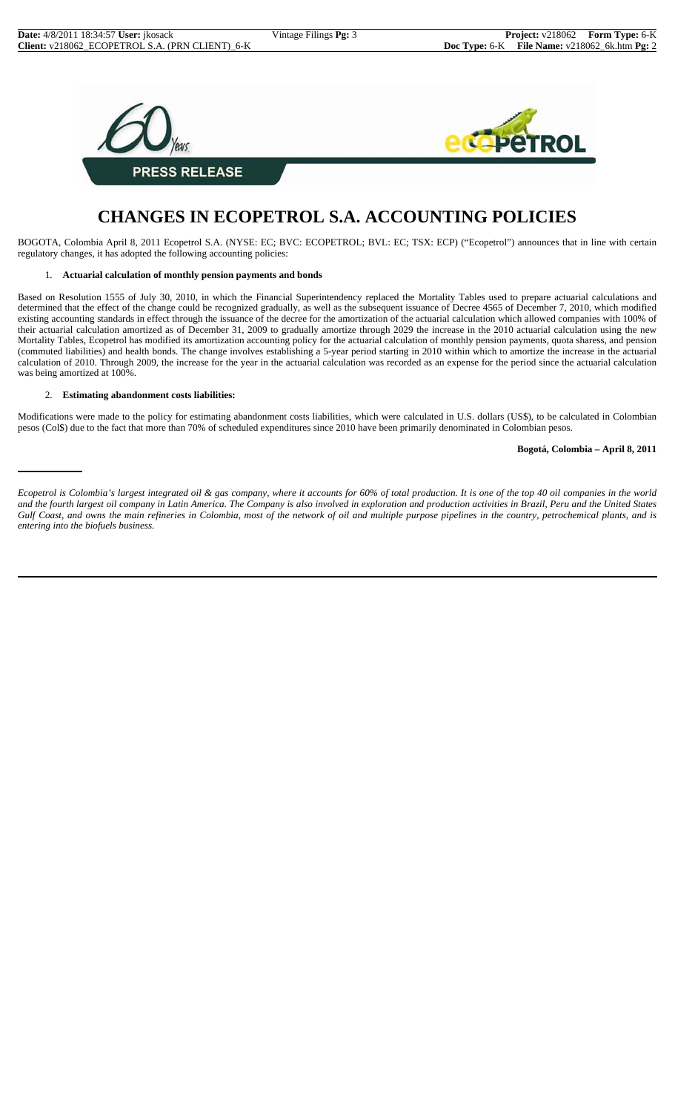

## **CHANGES IN ECOPETROL S.A. ACCOUNTING POLICIES**

BOGOTA, Colombia April 8, 2011 Ecopetrol S.A. (NYSE: EC; BVC: ECOPETROL; BVL: EC; TSX: ECP) ("Ecopetrol") announces that in line with certain regulatory changes, it has adopted the following accounting policies:

#### 1. **Actuarial calculation of monthly pension payments and bonds**

Based on Resolution 1555 of July 30, 2010, in which the Financial Superintendency replaced the Mortality Tables used to prepare actuarial calculations and determined that the effect of the change could be recognized gradually, as well as the subsequent issuance of Decree 4565 of December 7, 2010, which modified existing accounting standards in effect through the issuance of the decree for the amortization of the actuarial calculation which allowed companies with 100% of their actuarial calculation amortized as of December 31, 2009 to gradually amortize through 2029 the increase in the 2010 actuarial calculation using the new Mortality Tables, Ecopetrol has modified its amortization accounting policy for the actuarial calculation of monthly pension payments, quota sharess, and pension (commuted liabilities) and health bonds. The change involves establishing a 5-year period starting in 2010 within which to amortize the increase in the actuarial calculation of 2010. Through 2009, the increase for the year in the actuarial calculation was recorded as an expense for the period since the actuarial calculation was being amortized at 100%.

#### 2. **Estimating abandonment costs liabilities:**

Modifications were made to the policy for estimating abandonment costs liabilities, which were calculated in U.S. dollars (US\$), to be calculated in Colombian pesos (Col\$) due to the fact that more than 70% of scheduled expenditures since 2010 have been primarily denominated in Colombian pesos.

**Bogotá, Colombia – April 8, 2011**

*Ecopetrol is Colombia's largest integrated oil & gas company, where it accounts for 60% of total production. It is one of the top 40 oil companies in the world and the fourth largest oil company in Latin America. The Company is also involved in exploration and production activities in Brazil, Peru and the United States Gulf Coast, and owns the main refineries in Colombia, most of the network of oil and multiple purpose pipelines in the country, petrochemical plants, and is entering into the biofuels business.*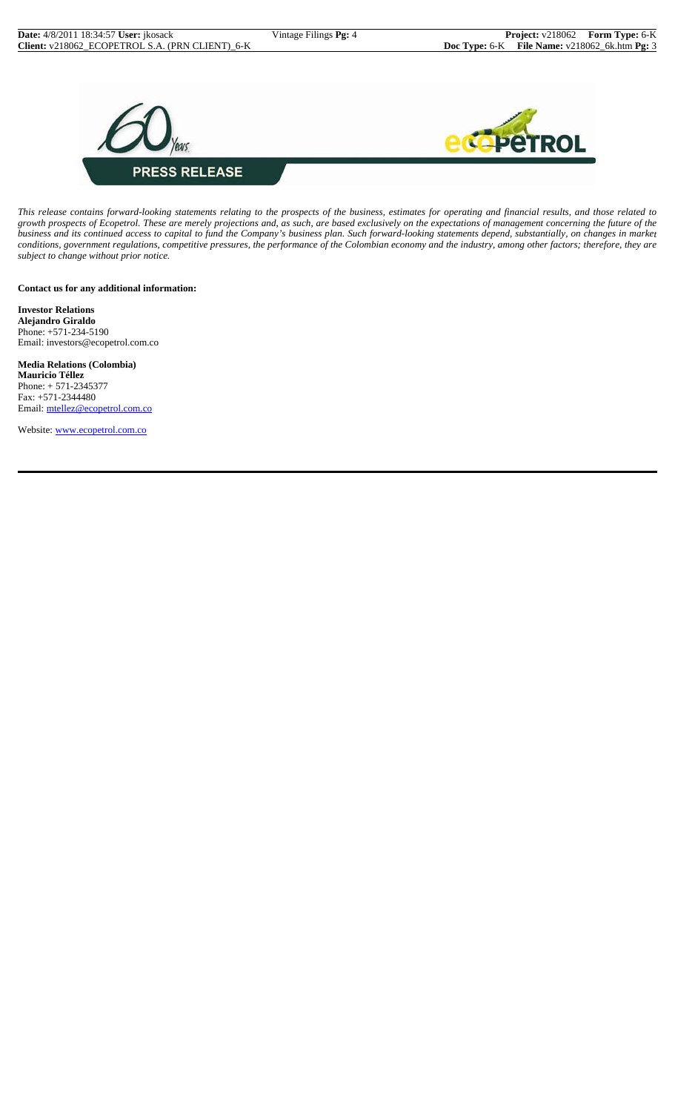

*This release contains forward-looking statements relating to the prospects of the business, estimates for operating and financial results, and those related to growth prospects of Ecopetrol. These are merely projections and, as such, are based exclusively on the expectations of management concerning the future of the business and its continued access to capital to fund the Company's business plan. Such forward-looking statements depend, substantially, on changes in market conditions, government regulations, competitive pressures, the performance of the Colombian economy and the industry, among other factors; therefore, they are subject to change without prior notice.*

**Contact us for any additional information:**

**Investor Relations Alejandro Giraldo** Phone: +571-234-5190 Email: investors@ecopetrol.com.co

**Media Relations (Colombia) Mauricio Téllez** Phone: + 571-2345377 Fax: +571-2344480 Email: mtellez@ecopetrol.com.co

Website: www.ecopetrol.com.co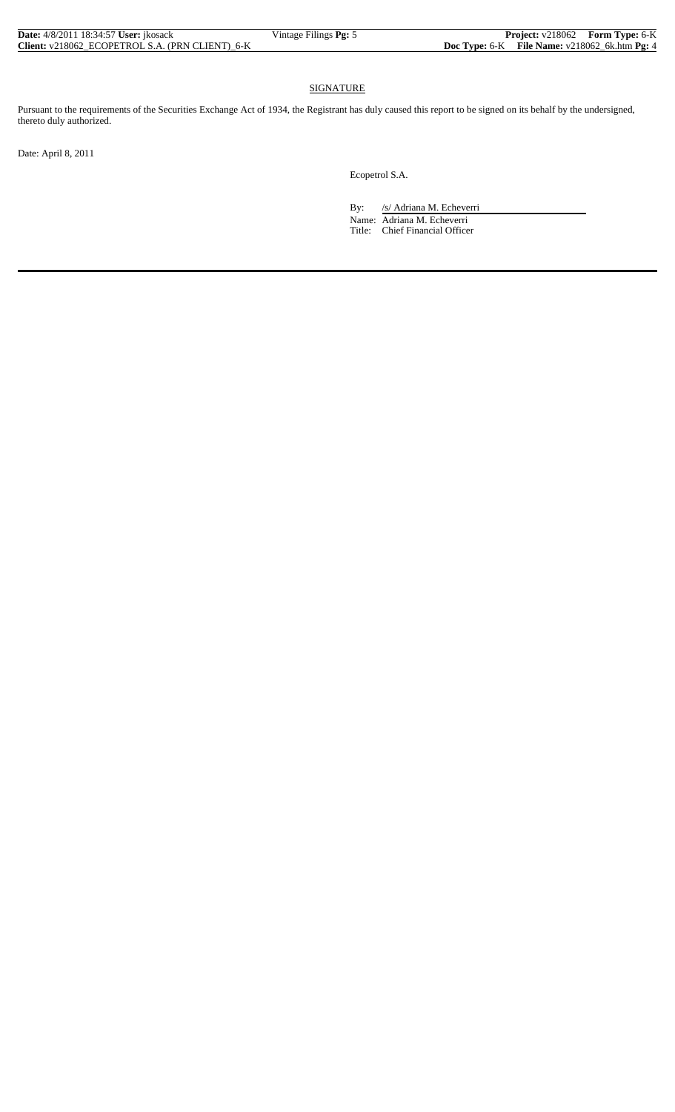| <b>Date:</b> 4/8/2011 18:34:57 <b>User:</b> ikosack | Vintage Filings <b>Pg:</b> 5 |                                                   | Project: v218062 Form Type: 6-K |
|-----------------------------------------------------|------------------------------|---------------------------------------------------|---------------------------------|
| Client: v218062 ECOPETROL S.A. (PRN CLIENT) 6-K     |                              | Doc Type: $6-K$ File Name: $v218062$ 6k.htm Pg: 4 |                                 |

### **SIGNATURE**

Pursuant to the requirements of the Securities Exchange Act of 1934, the Registrant has duly caused this report to be signed on its behalf by the undersigned, thereto duly authorized.

Date: April 8, 2011

Ecopetrol S.A.

By: /s/ Adriana M. Echeverri Name: Adriana M. Echeverri Title: Chief Financial Officer